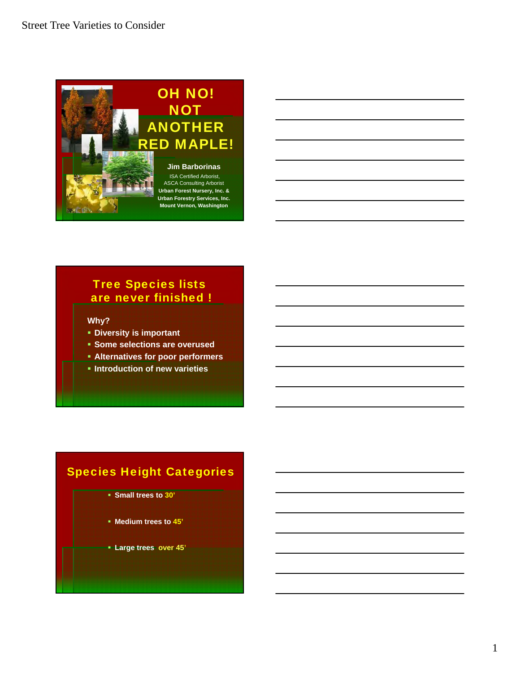

# Tree Species lists are never finished !

#### **Why?**

- **EDiversity is important**
- **Some selections are overused**
- **Alternatives for poor performers**
- **Introduction of new varieties**

# Species Height Categories

- **Small trees to 30'**
- **Medium trees to 45'**
- **Large trees over 45'**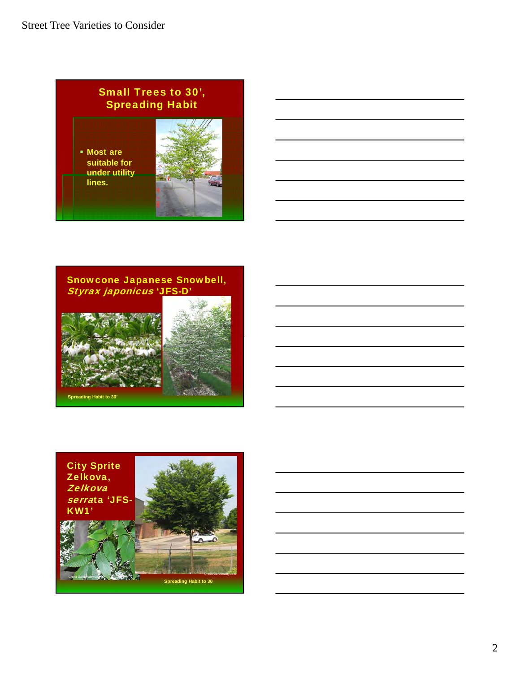





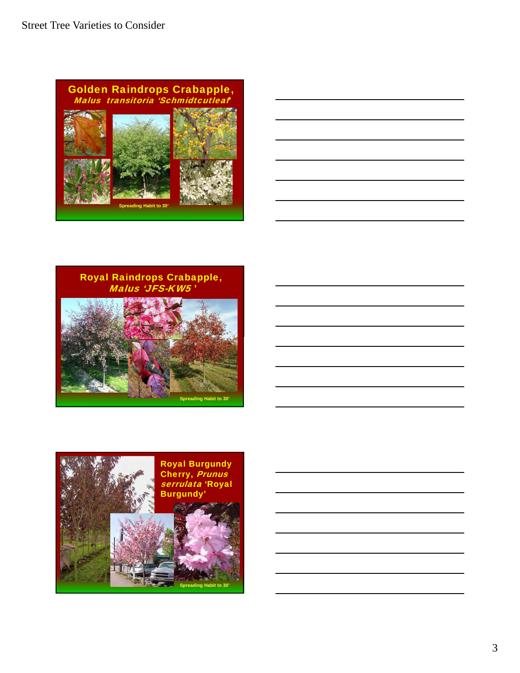





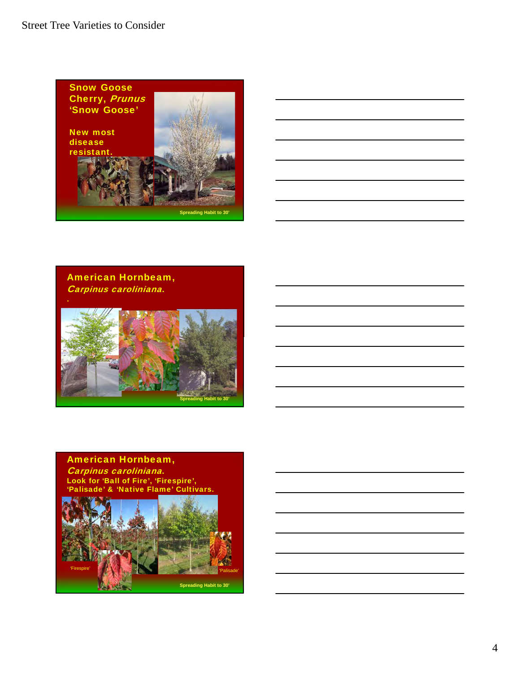







#### American Hornbeam, Carpinus caroliniana. Look for 'Ball of Fire', 'Firespire', 'Palisade' & 'Native Flame' Cultivars.

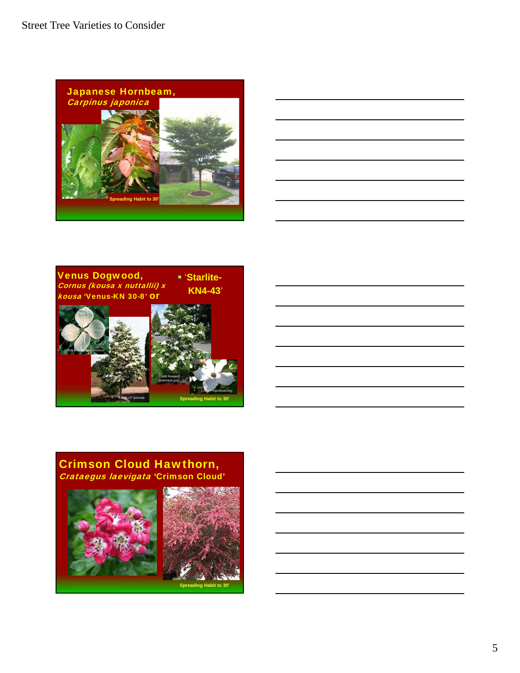





### Crimson Cloud Hawthorn, Crataegus laevigata 'Crimson Cloud'





**Spreading Habit to 30'**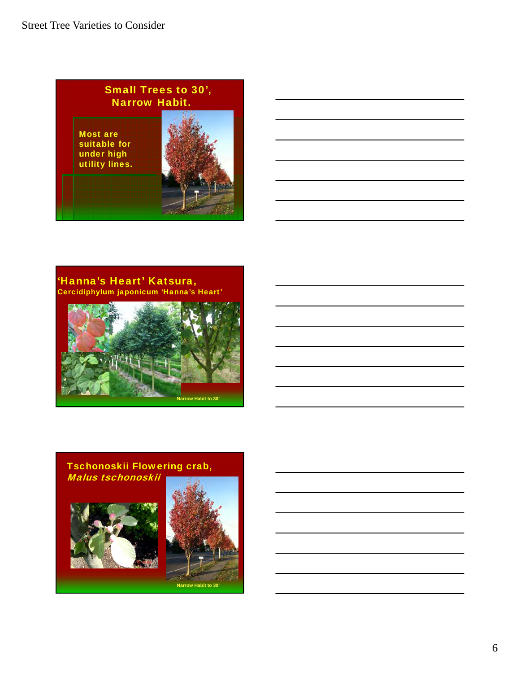Small Trees to 30', Narrow Habit. Most are suitable for under high utility lines.

'Hanna's Heart' Katsura, Cercidiphylum japonicum 'Hanna's Heart'



### Tschonoskii Flowering crab, Malus tschonoskii





**Narrow Habit to 30'**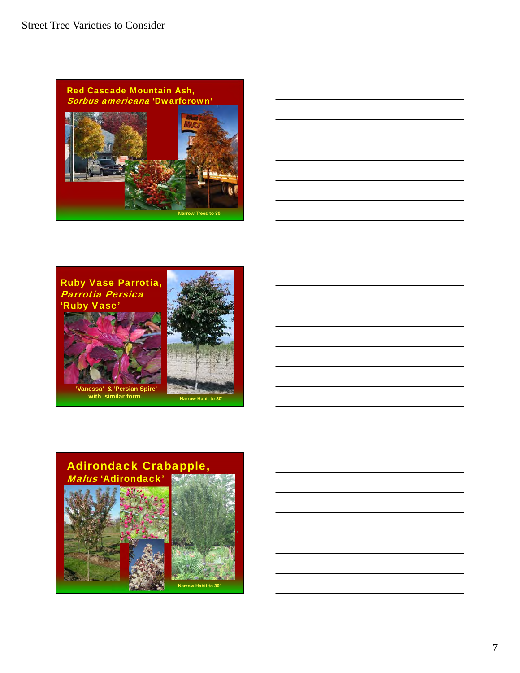





**with similar form.**

## Adirondack Crabapple, Malus 'Adirondack'



7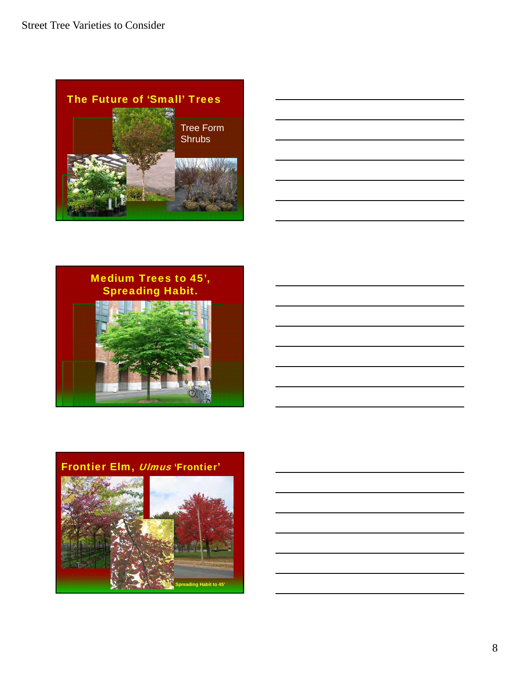



# Medium Trees to 45', Spreading Habit.





# Frontier Elm, Ulmus 'Frontier'

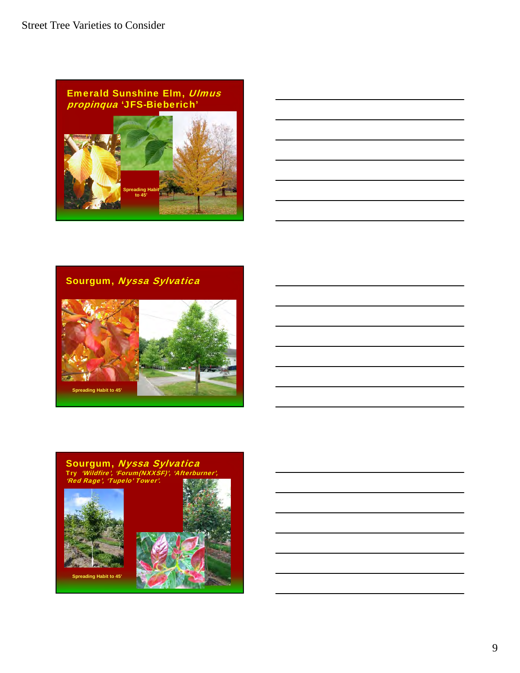

| <u> 1989 - Andrea Andrew Maria (h. 1989).</u>                                                                          |  |  |
|------------------------------------------------------------------------------------------------------------------------|--|--|
|                                                                                                                        |  |  |
| ,我们也不会有什么。""我们的人,我们也不会有什么?""我们的人,我们也不会有什么?""我们的人,我们也不会有什么?""我们的人,我们也不会有什么?""我们的人                                       |  |  |
| <u> 1989 - Johann Barn, mars ann an t-Amhainn an t-Amhainn an t-Amhainn an t-Amhainn an t-Amhainn an t-Amhainn an </u> |  |  |
| <u> 1989 - Johann Barn, amerikansk politiker (d. 1989)</u>                                                             |  |  |
|                                                                                                                        |  |  |

Sourgum, Nyssa Sylvatica



#### Sourgum, *Nyssa Sylvatica* Try 'Wildfire', 'Forum(NXXSF)', 'Afterburner', 'Red Rage', 'Tupelo' Tower'.





**Spreading Habit to 45'**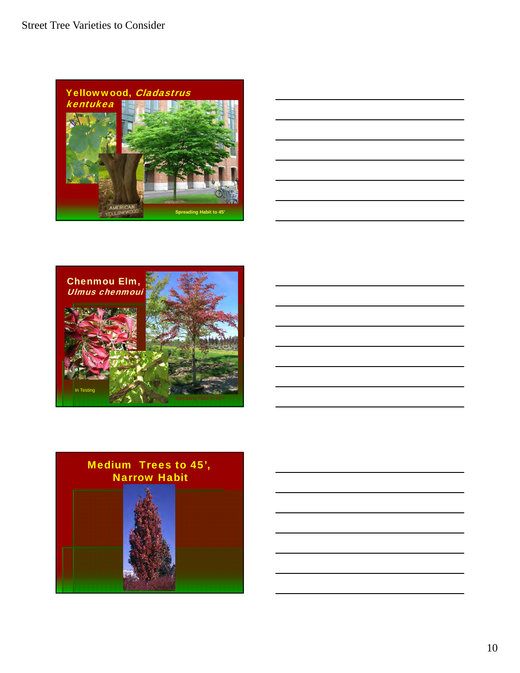

|  | ____ |
|--|------|
|  |      |
|  |      |
|  |      |



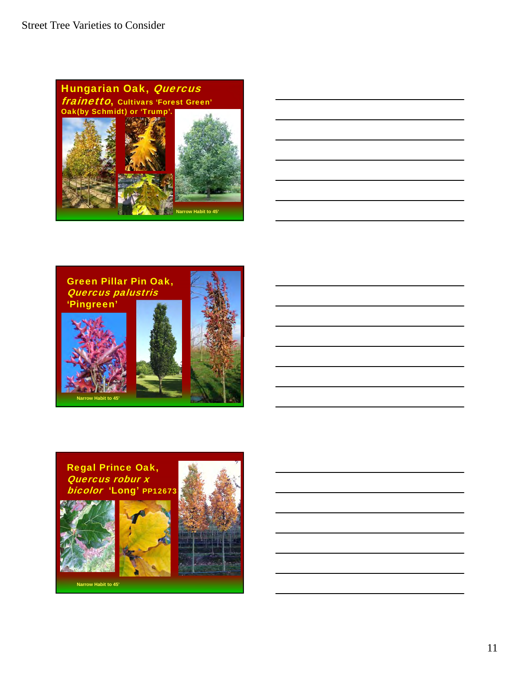





Regal Prince Oak, Quercus robur x bicolor 'Long' PP12673







**Narrow Habit to 45'**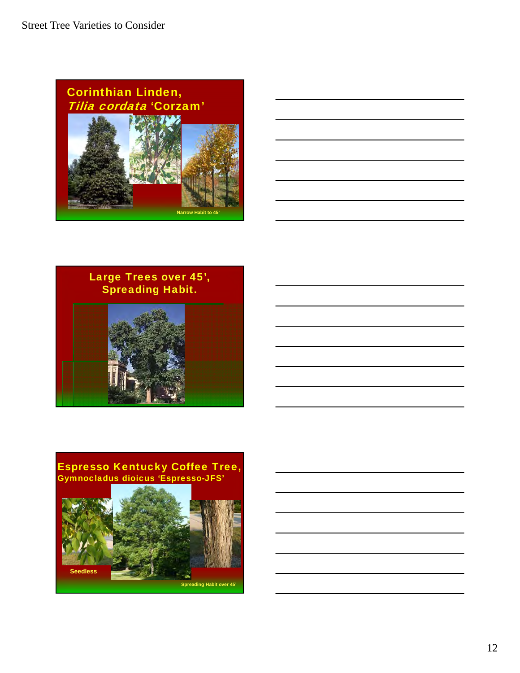





### Espresso Kentucky Coffee Tree, Gymnocladus dioicus 'Espresso-JFS'

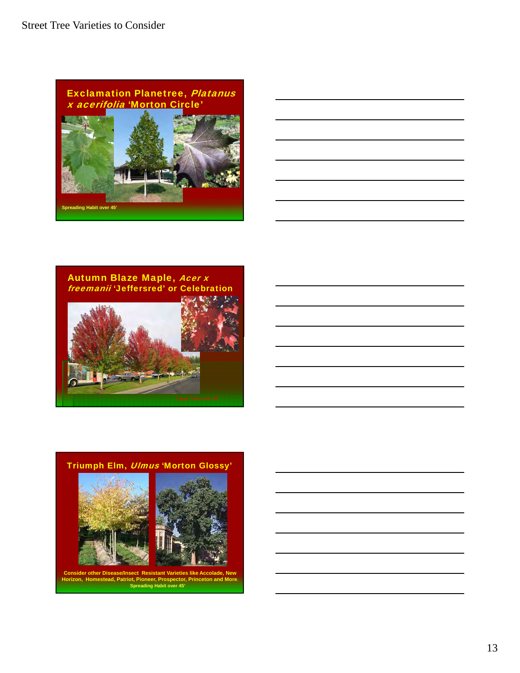

Autumn Blaze Maple, Acer x freemanii 'Jeffersred' or Celebration





**Spreading Habit over 45' Consider other Disease/Insect Resistant Varieties like Accolade, New Horizon, Homestead, Patriot, Pioneer, Prospector, Princeton and More**.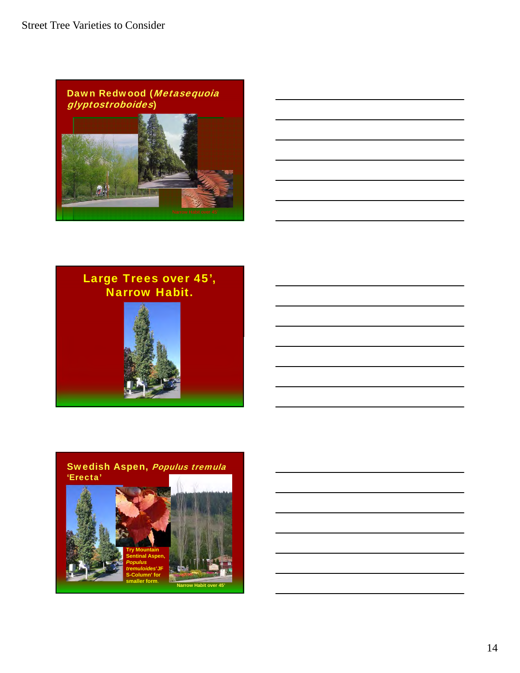



# Large Trees over 45', Narrow Habit.





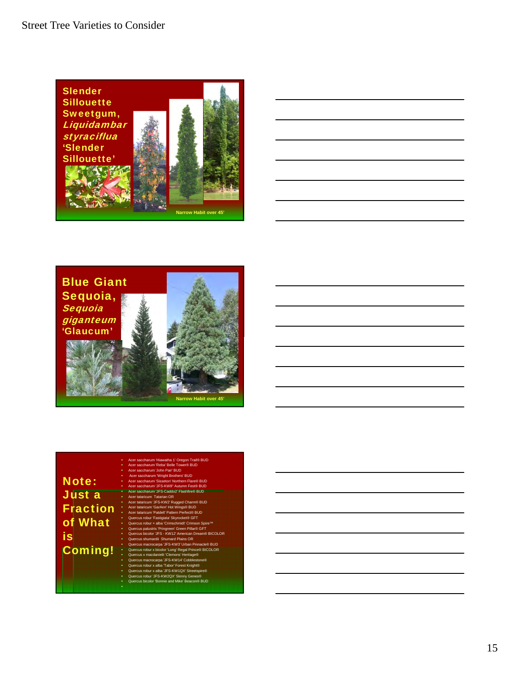





|                 | Acer saccharum 'Hiawatha 1' Oregon Trail® BUD<br>٠        |
|-----------------|-----------------------------------------------------------|
|                 | Acer saccharum 'Reba' Belle Tower® BUD<br>٠               |
|                 | Acer saccharum 'John Pair' BUD<br>٠                       |
|                 | Acer saccharum 'Wright Brothers' BUD<br>٠                 |
| <b>Note:</b>    | Acer saccharum 'Sisseton' Northern Flare® BUD<br>٠        |
|                 | Acer saccharum 'JFS-KW8" Autumn Fest® BUD<br>٠            |
|                 | Acer saccharum 'JFS-Caddo2' Flashfire® BUD<br>ο.          |
| Just a          | Acer tataricum Tatarian OR<br>×                           |
|                 | Acer tataricum 'JFS-KW2' Rugged Charm® BUD<br>×           |
| <b>Fraction</b> | Acer tataricum 'GarAnn' Hot Wings® BUD                    |
|                 | Acer tataricum 'Patdell' Pattern Perfect® BUD             |
|                 | Quercus robur 'Fastigiata' Skyrocket® GFT<br>×.           |
| of What         | w<br>Quercus robur x alba 'Crimschmidt' Crimson Spire™    |
|                 | Quercus palustris 'Pringreen' Green Pillar® GFT<br>×      |
| is              | Quercus bicolor 'JFS - KW12' American Dream® BICOLOR<br>٠ |
|                 | Quercus shumardii, Shumard Plains OR<br>۰                 |
|                 | Quercus macrocarpa 'JFS-KW3' Urban Pinnacle® BUD<br>۰     |
| <b>Coming!</b>  | Quercus robur x bicolor 'Long' Regal Prince® BICOLOR<br>٠ |
|                 | Quercus x macdanielii 'Clemons' Heritage®<br>٠            |
|                 | Quercus macrocarpa 'JFS-KW14' Cobblestone®<br>٠           |
|                 | Quercus robur x alba 'Tabor' Forest Knight®<br>٠          |
|                 | Quercus robur x alba 'JFS-KW1QX' Streetspire®<br>٠        |
|                 | Quercus robur 'JFS-KW2QX' Skinny Genes®<br>٠              |
|                 | Quercus bicolor 'Bonnie and Mike' Beacon® BUD<br>٠        |